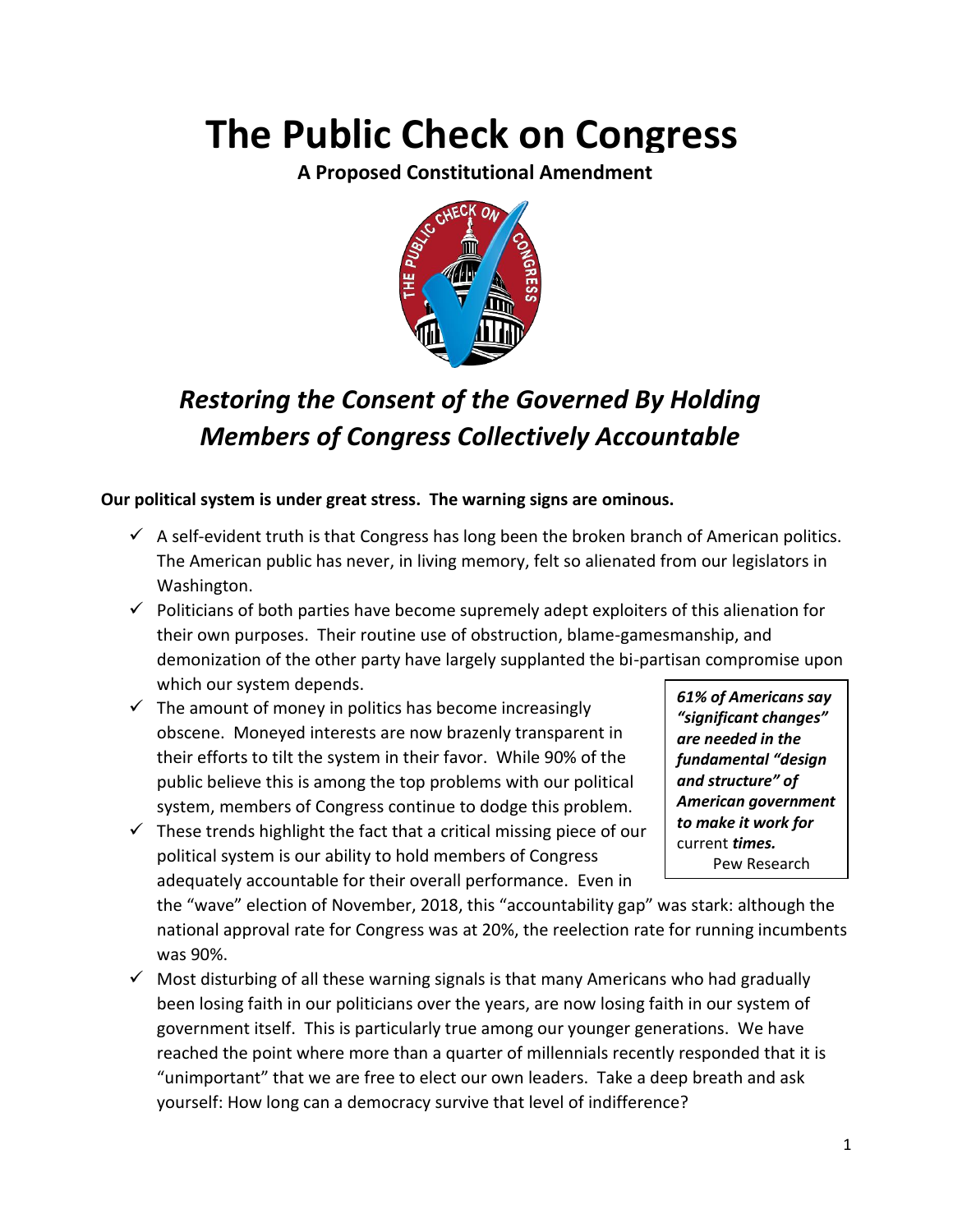# **The Public Check on Congress**

**A Proposed Constitutional Amendment**



# *Restoring the Consent of the Governed By Holding Members of Congress Collectively Accountable*

### **Our political system is under great stress. The warning signs are ominous.**

- $\checkmark$  A self-evident truth is that Congress has long been the broken branch of American politics. The American public has never, in living memory, felt so alienated from our legislators in Washington.
- $\checkmark$  Politicians of both parties have become supremely adept exploiters of this alienation for their own purposes. Their routine use of obstruction, blame-gamesmanship, and demonization of the other party have largely supplanted the bi-partisan compromise upon which our system depends.
- $\checkmark$  The amount of money in politics has become increasingly obscene. Moneyed interests are now brazenly transparent in their efforts to tilt the system in their favor. While 90% of the public believe this is among the top problems with our political system, members of Congress continue to dodge this problem.
- $\checkmark$  These trends highlight the fact that a critical missing piece of our political system is our ability to hold members of Congress adequately accountable for their overall performance. Even in

*61% of Americans say "significant changes" are needed in the fundamental "design and structure" of American government to make it work for*  current *times.* Pew Research

the "wave" election of November, 2018, this "accountability gap" was stark: although the national approval rate for Congress was at 20%, the reelection rate for running incumbents was 90%.

 $\checkmark$  Most disturbing of all these warning signals is that many Americans who had gradually been losing faith in our politicians over the years, are now losing faith in our system of government itself. This is particularly true among our younger generations. We have reached the point where more than a quarter of millennials recently responded that it is "unimportant" that we are free to elect our own leaders. Take a deep breath and ask yourself: How long can a democracy survive that level of indifference?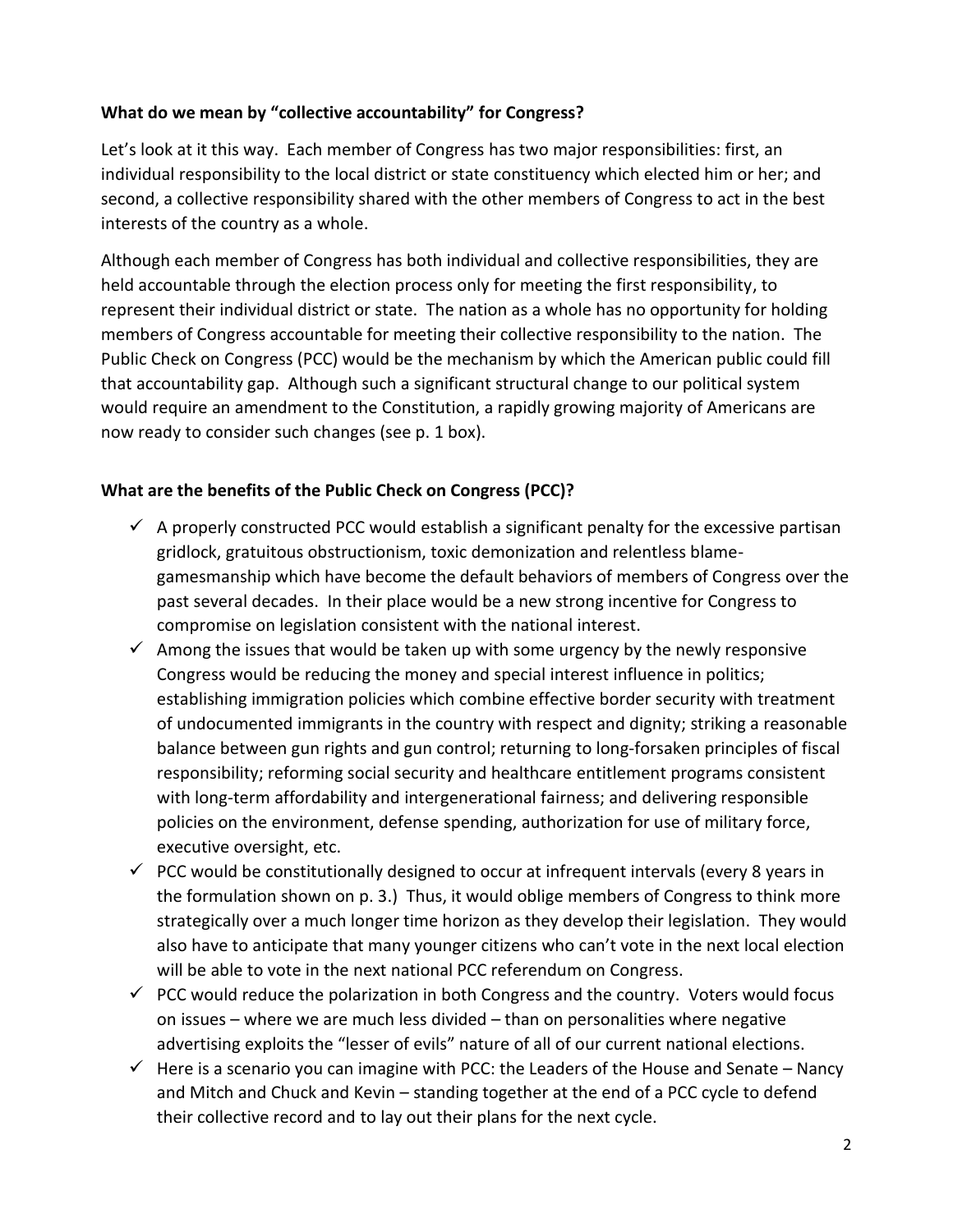#### **What do we mean by "collective accountability" for Congress?**

Let's look at it this way. Each member of Congress has two major responsibilities: first, an individual responsibility to the local district or state constituency which elected him or her; and second, a collective responsibility shared with the other members of Congress to act in the best interests of the country as a whole.

Although each member of Congress has both individual and collective responsibilities, they are held accountable through the election process only for meeting the first responsibility, to represent their individual district or state. The nation as a whole has no opportunity for holding members of Congress accountable for meeting their collective responsibility to the nation. The Public Check on Congress (PCC) would be the mechanism by which the American public could fill that accountability gap. Although such a significant structural change to our political system would require an amendment to the Constitution, a rapidly growing majority of Americans are now ready to consider such changes (see p. 1 box).

#### **What are the benefits of the Public Check on Congress (PCC)?**

- $\checkmark$  A properly constructed PCC would establish a significant penalty for the excessive partisan gridlock, gratuitous obstructionism, toxic demonization and relentless blamegamesmanship which have become the default behaviors of members of Congress over the past several decades. In their place would be a new strong incentive for Congress to compromise on legislation consistent with the national interest.
- $\checkmark$  Among the issues that would be taken up with some urgency by the newly responsive Congress would be reducing the money and special interest influence in politics; establishing immigration policies which combine effective border security with treatment of undocumented immigrants in the country with respect and dignity; striking a reasonable balance between gun rights and gun control; returning to long-forsaken principles of fiscal responsibility; reforming social security and healthcare entitlement programs consistent with long-term affordability and intergenerational fairness; and delivering responsible policies on the environment, defense spending, authorization for use of military force, executive oversight, etc.
- $\checkmark$  PCC would be constitutionally designed to occur at infrequent intervals (every 8 years in the formulation shown on p. 3.) Thus, it would oblige members of Congress to think more strategically over a much longer time horizon as they develop their legislation. They would also have to anticipate that many younger citizens who can't vote in the next local election will be able to vote in the next national PCC referendum on Congress.
- $\checkmark$  PCC would reduce the polarization in both Congress and the country. Voters would focus on issues – where we are much less divided – than on personalities where negative advertising exploits the "lesser of evils" nature of all of our current national elections.
- $\checkmark$  Here is a scenario you can imagine with PCC: the Leaders of the House and Senate Nancy and Mitch and Chuck and Kevin – standing together at the end of a PCC cycle to defend their collective record and to lay out their plans for the next cycle.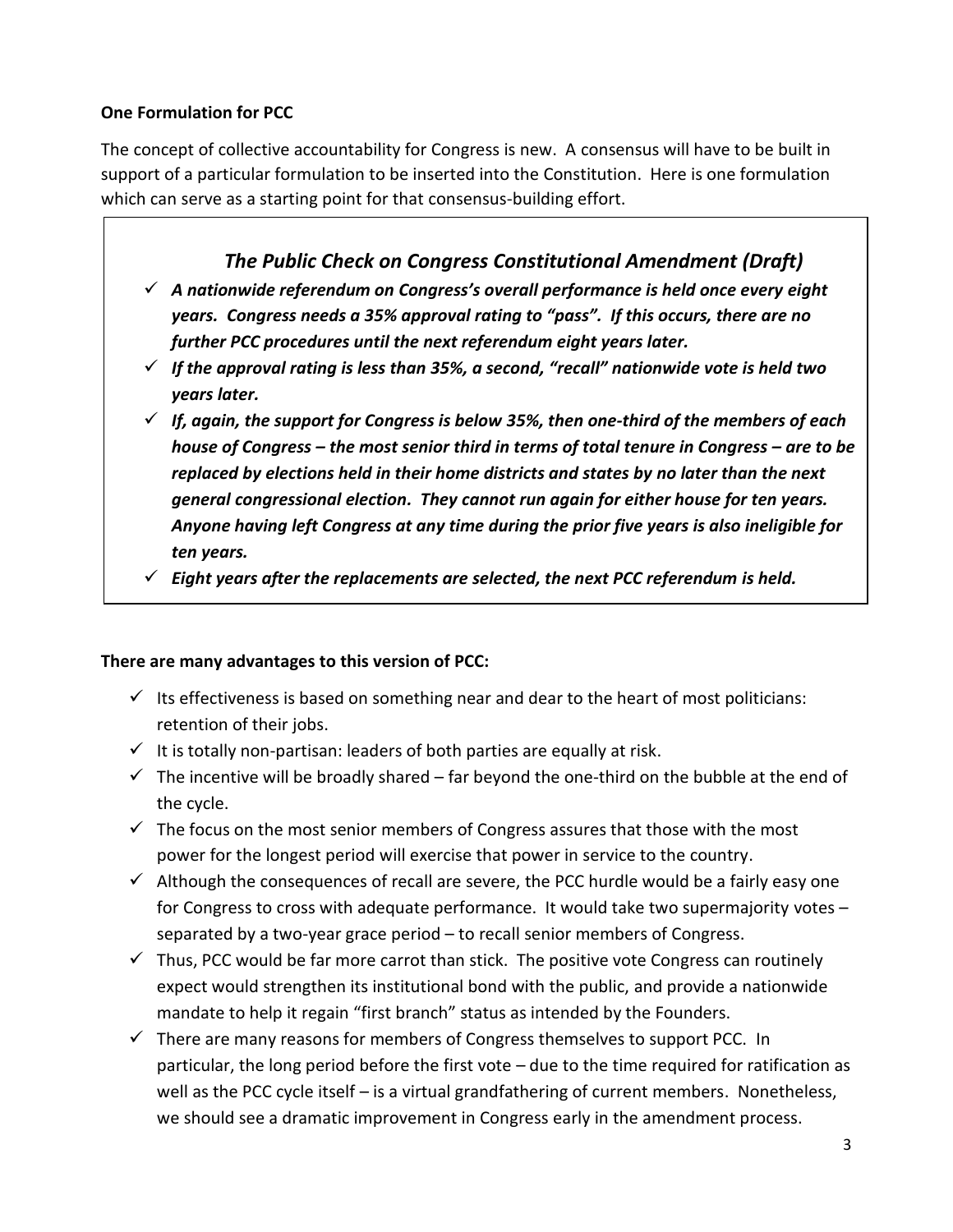#### **One Formulation for PCC**

The concept of collective accountability for Congress is new. A consensus will have to be built in support of a particular formulation to be inserted into the Constitution. Here is one formulation which can serve as a starting point for that consensus-building effort.

# *The Public Check on Congress Constitutional Amendment (Draft)*

- ✓ *A nationwide referendum on Congress's overall performance is held once every eight years. Congress needs a 35% approval rating to "pass". If this occurs, there are no further PCC procedures until the next referendum eight years later.*
- ✓ *If the approval rating is less than 35%, a second, "recall" nationwide vote is held two years later.*
- $\checkmark$  If, again, the support for Congress is below 35%, then one-third of the members of each *house of Congress – the most senior third in terms of total tenure in Congress – are to be replaced by elections held in their home districts and states by no later than the next general congressional election. They cannot run again for either house for ten years. Anyone having left Congress at any time during the prior five years is also ineligible for ten years.*
- ✓ *Eight years after the replacements are selected, the next PCC referendum is held.*

#### **There are many advantages to this version of PCC:**

- $\checkmark$  Its effectiveness is based on something near and dear to the heart of most politicians: retention of their jobs.
- $\checkmark$  It is totally non-partisan: leaders of both parties are equally at risk.
- $\checkmark$  The incentive will be broadly shared far beyond the one-third on the bubble at the end of the cycle.
- $\checkmark$  The focus on the most senior members of Congress assures that those with the most power for the longest period will exercise that power in service to the country.
- $\checkmark$  Although the consequences of recall are severe, the PCC hurdle would be a fairly easy one for Congress to cross with adequate performance. It would take two supermajority votes – separated by a two-year grace period – to recall senior members of Congress.
- $\checkmark$  Thus, PCC would be far more carrot than stick. The positive vote Congress can routinely expect would strengthen its institutional bond with the public, and provide a nationwide mandate to help it regain "first branch" status as intended by the Founders.
- $\checkmark$  There are many reasons for members of Congress themselves to support PCC. In particular, the long period before the first vote – due to the time required for ratification as well as the PCC cycle itself - is a virtual grandfathering of current members. Nonetheless, we should see a dramatic improvement in Congress early in the amendment process.